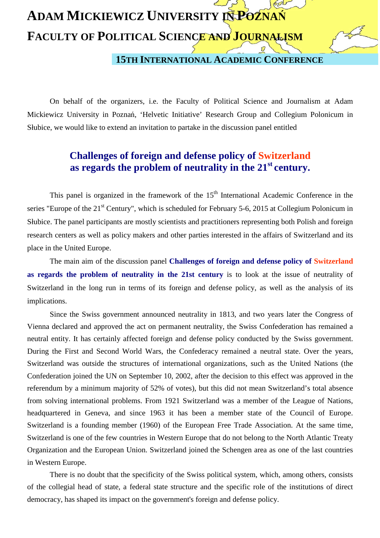## **ADAM MICKIEWICZ UNIVERSITY IN POZNAŃ FACULTY OF POLITICAL SCIENCE AND JOURNALISM 15TH INTERNATIONAL ACADEMIC CONFERENCE**

 On behalf of the organizers, i.e. the Faculty of Political Science and Journalism at Adam Mickiewicz University in Poznań, 'Helvetic Initiative' Research Group and Collegium Polonicum in Słubice, we would like to extend an invitation to partake in the discussion panel entitled

## **Challenges of foreign and defense policy of Switzerland as regards the problem of neutrality in the 21st century.**

This panel is organized in the framework of the  $15<sup>th</sup>$  International Academic Conference in the series "Europe of the 21<sup>st</sup> Century", which is scheduled for February 5-6, 2015 at Collegium Polonicum in Słubice. The panel participants are mostly scientists and practitioners representing both Polish and foreign research centers as well as policy makers and other parties interested in the affairs of Switzerland and its place in the United Europe.

 The main aim of the discussion panel **Challenges of foreign and defense policy of Switzerland as regards the problem of neutrality in the 21st century** is to look at the issue of neutrality of Switzerland in the long run in terms of its foreign and defense policy, as well as the analysis of its implications.

Since the Swiss government announced neutrality in 1813, and two years later the Congress of Vienna declared and approved the act on permanent neutrality, the Swiss Confederation has remained a neutral entity. It has certainly affected foreign and defense policy conducted by the Swiss government. During the First and Second World Wars, the Confederacy remained a neutral state. Over the years, Switzerland was outside the structures of international organizations, such as the United Nations (the Confederation joined the UN on September 10, 2002, after the decision to this effect was approved in the referendum by a minimum majority of 52% of votes), but this did not mean Switzerland's total absence from solving international problems. From 1921 Switzerland was a member of the League of Nations, headquartered in Geneva, and since 1963 it has been a member state of the Council of Europe. Switzerland is a founding member (1960) of the European Free Trade Association. At the same time, Switzerland is one of the few countries in Western Europe that do not belong to the North Atlantic Treaty Organization and the European Union. Switzerland joined the Schengen area as one of the last countries in Western Europe.

There is no doubt that the specificity of the Swiss political system, which, among others, consists of the collegial head of state, a federal state structure and the specific role of the institutions of direct democracy, has shaped its impact on the government's foreign and defense policy.